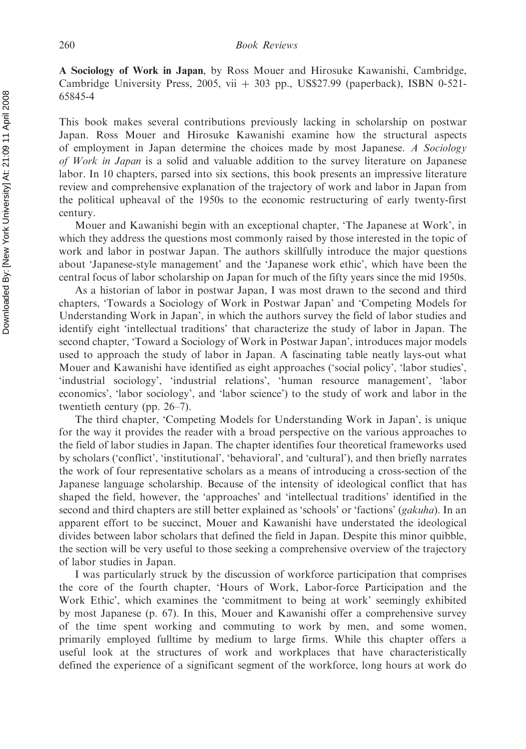A Sociology of Work in Japan, by Ross Mouer and Hirosuke Kawanishi, Cambridge, Cambridge University Press, 2005, vii  $+303$  pp., US\$27.99 (paperback), ISBN 0-521-65845-4

This book makes several contributions previously lacking in scholarship on postwar Japan. Ross Mouer and Hirosuke Kawanishi examine how the structural aspects of employment in Japan determine the choices made by most Japanese. A Sociology of Work in Japan is a solid and valuable addition to the survey literature on Japanese labor. In 10 chapters, parsed into six sections, this book presents an impressive literature review and comprehensive explanation of the trajectory of work and labor in Japan from the political upheaval of the 1950s to the economic restructuring of early twenty-first century.

Mouer and Kawanishi begin with an exceptional chapter, 'The Japanese at Work', in which they address the questions most commonly raised by those interested in the topic of work and labor in postwar Japan. The authors skillfully introduce the major questions about 'Japanese-style management' and the 'Japanese work ethic', which have been the central focus of labor scholarship on Japan for much of the fifty years since the mid 1950s.

As a historian of labor in postwar Japan, I was most drawn to the second and third chapters, 'Towards a Sociology of Work in Postwar Japan' and 'Competing Models for Understanding Work in Japan', in which the authors survey the field of labor studies and identify eight 'intellectual traditions' that characterize the study of labor in Japan. The second chapter, 'Toward a Sociology of Work in Postwar Japan', introduces major models used to approach the study of labor in Japan. A fascinating table neatly lays-out what Mouer and Kawanishi have identified as eight approaches ('social policy', 'labor studies', 'industrial sociology', 'industrial relations', 'human resource management', 'labor economics', 'labor sociology', and 'labor science') to the study of work and labor in the twentieth century (pp. 26–7).

The third chapter, 'Competing Models for Understanding Work in Japan', is unique for the way it provides the reader with a broad perspective on the various approaches to the field of labor studies in Japan. The chapter identifies four theoretical frameworks used by scholars ('conflict', 'institutional', 'behavioral', and 'cultural'), and then briefly narrates the work of four representative scholars as a means of introducing a cross-section of the Japanese language scholarship. Because of the intensity of ideological conflict that has shaped the field, however, the 'approaches' and 'intellectual traditions' identified in the second and third chapters are still better explained as 'schools' or 'factions' (*gakuha*). In an apparent effort to be succinct, Mouer and Kawanishi have understated the ideological divides between labor scholars that defined the field in Japan. Despite this minor quibble, the section will be very useful to those seeking a comprehensive overview of the trajectory of labor studies in Japan.

I was particularly struck by the discussion of workforce participation that comprises the core of the fourth chapter, 'Hours of Work, Labor-force Participation and the Work Ethic', which examines the 'commitment to being at work' seemingly exhibited by most Japanese (p. 67). In this, Mouer and Kawanishi offer a comprehensive survey of the time spent working and commuting to work by men, and some women, primarily employed fulltime by medium to large firms. While this chapter offers a useful look at the structures of work and workplaces that have characteristically defined the experience of a significant segment of the workforce, long hours at work do